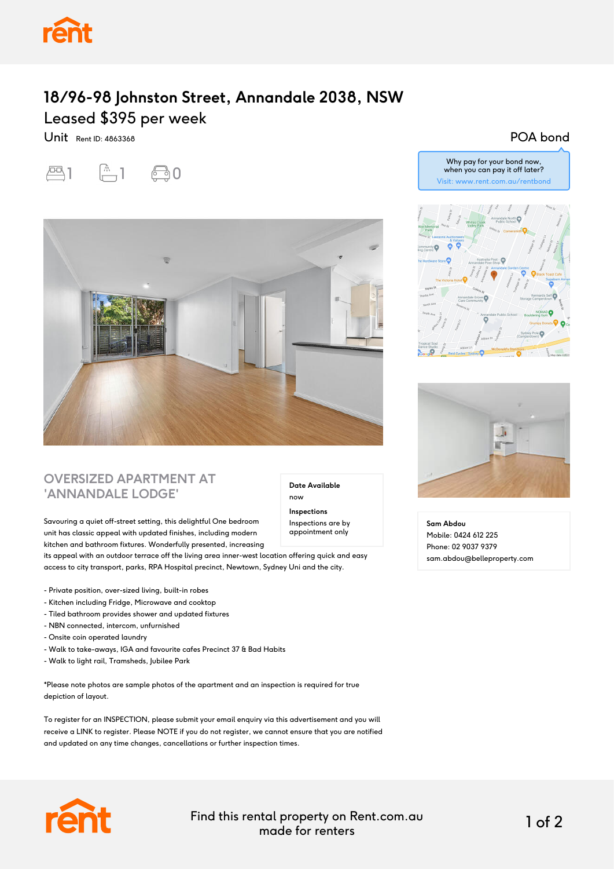

## **18/96-98 Johnston Street, Annandale 2038, NSW** Leased \$395 per week

Unit Rent ID: 4863368

# $-1$   $-1$   $-0$



### **OVERSIZED APARTMENT AT 'ANNANDALE LODGE'**

Savouring a quiet off-street setting, this delightful One bedroom unit has classic appeal with updated finishes, including modern kitchen and bathroom fixtures. Wonderfully presented, increasing

its appeal with an outdoor terrace off the living area inner-west location offering quick and easy access to city transport, parks, RPA Hospital precinct, Newtown, Sydney Uni and the city.

- Private position, over-sized living, built-in robes
- Kitchen including Fridge, Microwave and cooktop
- Tiled bathroom provides shower and updated fixtures
- NBN connected, intercom, unfurnished
- Onsite coin operated laundry
- Walk to take-aways, IGA and favourite cafes Precinct 37 & Bad Habits
- Walk to light rail, Tramsheds, Jubilee Park

\*Please note photos are sample photos of the apartment and an inspection is required for true depiction of layout.

To register for an INSPECTION, please submit your email enquiry via this advertisement and you will receive a LINK to register. Please NOTE if you do not register, we cannot ensure that you are notified and updated on any time changes, cancellations or further inspection times.

#### **Date Available**

now

**Inspections** Inspections are by appointment only

Why pay for your bond now, when you can pay it off later?

POA bond

Visit: www.rent.com.au/rentbond





**Sam Abdou** Mobile: 0424 612 225 Phone: 02 9037 9379 sam.abdou@belleproperty.com



Find this rental property on Rent.com.au made for renters 1 of 2